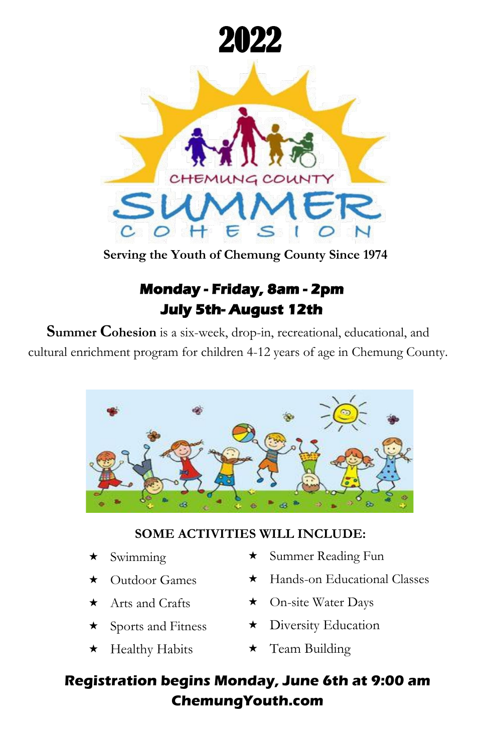

**Serving the Youth of Chemung County Since 1974**

# **Monday - Friday, 8am - 2pm July 5th- August 12th**

**Summer Cohesion** is a six-week, drop-in, recreational, educational, and cultural enrichment program for children 4-12 years of age in Chemung County.



## **SOME ACTIVITIES WILL INCLUDE:**

- $\star$  Swimming
- **★** Outdoor Games
- $\star$  Arts and Crafts
- $\star$  Sports and Fitness
- ★ Healthy Habits
- Summer Reading Fun
- ★ Hands-on Educational Classes
- On-site Water Days
- \* Diversity Education
- $\star$  Team Building

## **Registration begins Monday, June 6th at 9:00 am ChemungYouth.com**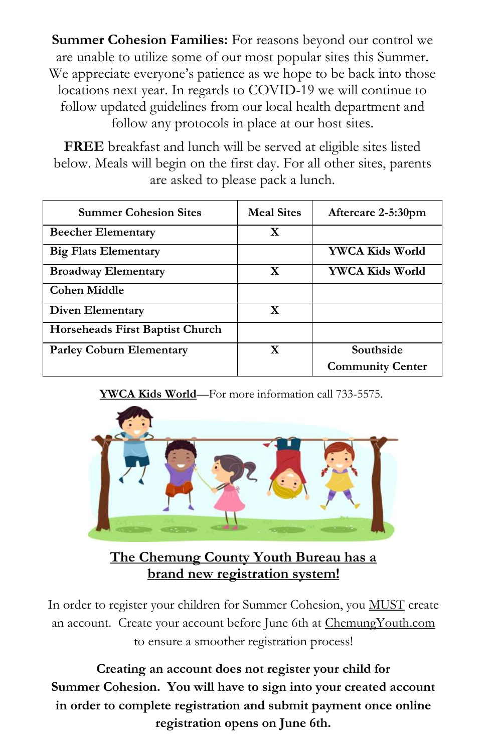**Summer Cohesion Families:** For reasons beyond our control we are unable to utilize some of our most popular sites this Summer. We appreciate everyone's patience as we hope to be back into those locations next year. In regards to COVID-19 we will continue to follow updated guidelines from our local health department and follow any protocols in place at our host sites.

**FREE** breakfast and lunch will be served at eligible sites listed below. Meals will begin on the first day. For all other sites, parents are asked to please pack a lunch.

| <b>Summer Cohesion Sites</b>    | <b>Meal Sites</b> | Aftercare 2-5:30pm      |
|---------------------------------|-------------------|-------------------------|
| <b>Beecher Elementary</b>       | X                 |                         |
| <b>Big Flats Elementary</b>     |                   | YWCA Kids World         |
| <b>Broadway Elementary</b>      | X                 | YWCA Kids World         |
| Cohen Middle                    |                   |                         |
| <b>Diven Elementary</b>         | X                 |                         |
| Horseheads First Baptist Church |                   |                         |
| <b>Parley Coburn Elementary</b> | X                 | Southside               |
|                                 |                   | <b>Community Center</b> |

**YWCA Kids World**—For more information call 733-5575.



**The Chemung County Youth Bureau has a brand new registration system!**

In order to register your children for Summer Cohesion, you MUST create an account. Create your account before June 6th at ChemungYouth.com to ensure a smoother registration process!

**Creating an account does not register your child for Summer Cohesion. You will have to sign into your created account in order to complete registration and submit payment once online registration opens on June 6th.**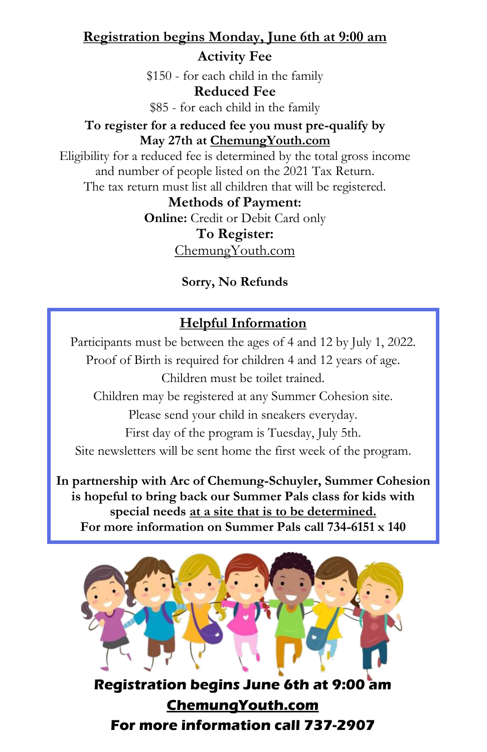## **Registration begins Monday, June 6th at 9:00 am Activity Fee**

\$150 - for each child in the family **Reduced Fee** \$85 - for each child in the family

#### **To register for a reduced fee you must pre-qualify by May 27th at ChemungYouth.com**

Eligibility for a reduced fee is determined by the total gross income and number of people listed on the 2021 Tax Return. The tax return must list all children that will be registered.

**Methods of Payment:**

**Online:** Credit or Debit Card only

**To Register:**

ChemungYouth.com

## **Sorry, No Refunds**

## **Helpful Information**

Participants must be between the ages of 4 and 12 by July 1, 2022. Proof of Birth is required for children 4 and 12 years of age. Children must be toilet trained. Children may be registered at any Summer Cohesion site. Please send your child in sneakers everyday. First day of the program is Tuesday, July 5th. Site newsletters will be sent home the first week of the program.

**In partnership with Arc of Chemung-Schuyler, Summer Cohesion is hopeful to bring back our Summer Pals class for kids with special needs at a site that is to be determined. For more information on Summer Pals call 734-6151 x 140**



**Registration begins June 6th at 9:00 am ChemungYouth.com For more information call 737-2907**